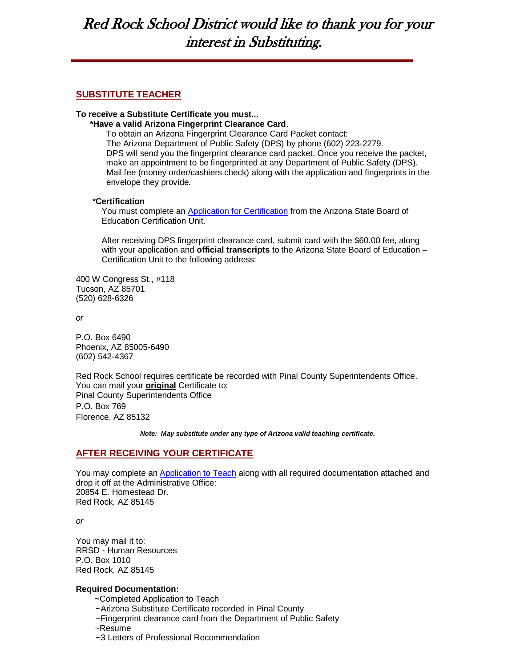# Red Rock School District would like to thank you for your interest in Substituting.

# **SUBSTITUTE TEACHER**

#### **To receive a Substitute Certificate you must...**

 **\*Have a valid Arizona Fingerprint Clearance Card**.

To obtain an Arizona Fingerprint Clearance Card Packet contact: The Arizona Department of Public Safety (DPS) by phone (602) 223-2279. DPS will send you the fingerprint clearance card packet. Once you receive the packet, make an appointment to be fingerprinted at any Department of Public Safety (DPS). Mail fee (money order/cashiers check) along with the application and fingerprints in the envelope they provide*.*

#### \***Certification**

 You must complete an [Application for Certification](http://www.ade.state.az.us/certification/downloads/Application.pdf) from the Arizona State Board of Education Certification Unit.

 After receiving DPS fingerprint clearance card, submit card with the \$60.00 fee, along with your application and **official transcripts** to the Arizona State Board of Education – Certification Unit to the following address:

400 W Congress St., #118 Tucson, AZ 85701 (520) 628-6326

*or* 

P.O. Box 6490 Phoenix, AZ 85005-6490 (602) 542-4367

Red Rock School requires certificate be recorded with Pinal County Superintendents Office. You can mail your **original** Certificate to: Pinal County Superintendents Office P.O. Box 769 Florence, AZ 85132

*Note: May substitute under* **any** *type of Arizona valid teaching certificate.*

# **AFTER RECEIVING YOUR CERTIFICATE**

You may complete a[n Application to Teach](http://www.redrockschools.com/filestore/RedRockCertified_Application1108.pdf) along with all required documentation attached and drop it off at the Administrative Office: 20854 E. Homestead Dr. Red Rock, AZ 85145

*or*

You may mail it to: RRSD - Human Resources P.O. Box 1010 Red Rock, AZ 85145

## **Required Documentation:**

 **~**Completed Application to Teach

- ~Arizona Substitute Certificate recorded in Pinal County
- ~Fingerprint clearance card from the Department of Public Safety
- ~Resume
- ~3 Letters of Professional Recommendation